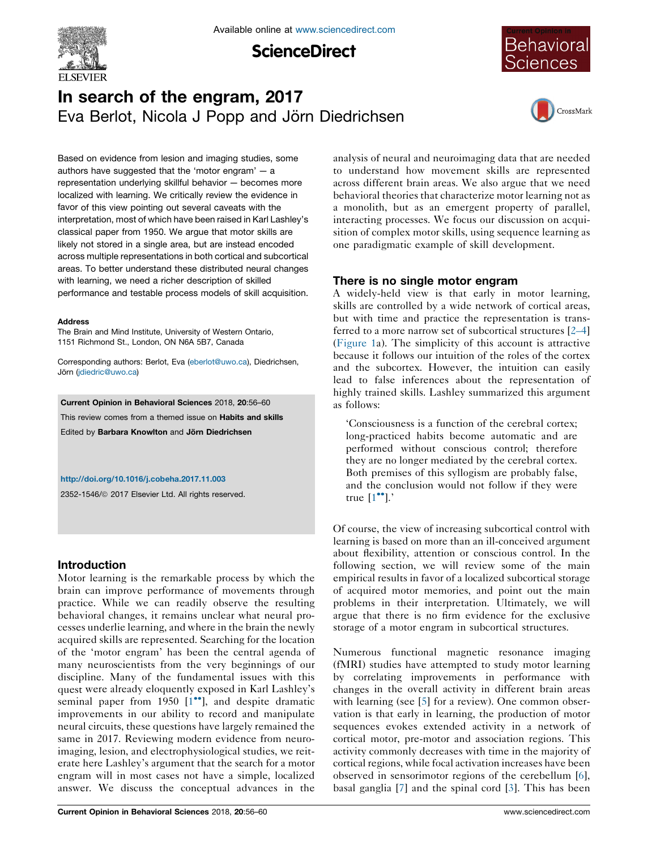

**ScienceDirect** 



# In search of the engram, 2017 Eva Berlot, Nicola J Popp and Jörn Diedrichsen



Based on evidence from lesion and imaging studies, some authors have suggested that the 'motor engram' — a representation underlying skillful behavior — becomes more localized with learning. We critically review the evidence in favor of this view pointing out several caveats with the interpretation, most of which have been raised in Karl Lashley's classical paper from 1950. We argue that motor skills are likely not stored in a single area, but are instead encoded across multiple representations in both cortical and subcortical areas. To better understand these distributed neural changes with learning, we need a richer description of skilled performance and testable process models of skill acquisition.

#### Address

The Brain and Mind Institute, University of Western Ontario, 1151 Richmond St., London, ON N6A 5B7, Canada

Corresponding authors: Berlot, Eva [\(eberlot@uwo.ca\)](mailto:eberlot@uwo.ca), Diedrichsen, Jörn [\(jdiedric@uwo.ca\)](mailto:jdiedric@uwo.ca)

Current Opinion in Behavioral Sciences 2018, 20:56–60

This review comes from a themed issue on Habits and skills

Edited by Barbara Knowlton and Jörn Diedrichsen

#### [http://doi.org/10.1016/j.cobeha.2017.11.003](http://dx.doi.org/10.1016/j.cobeha.2017.11.003)

2352-1546/ã 2017 Elsevier Ltd. All rights reserved.

#### Introduction

Motor learning is the remarkable process by which the brain can improve performance of movements through practice. While we can readily observe the resulting behavioral changes, it remains unclear what neural processes underlie learning, and where in the brain the newly acquired skills are represented. Searching for the location of the 'motor engram' has been the central agenda of many neuroscientists from the very beginnings of our discipline. Many of the fundamental issues with this quest were already eloquently exposed in Karl Lashley's seminal paper from 1950  $[1^{\bullet\bullet}]$ , and despite [dramatic](#page-3-0) improvements in our ability to record and manipulate neural circuits, these questions have largely remained the same in 2017. Reviewing modern evidence from neuroimaging, lesion, and electrophysiological studies, we reiterate here Lashley's argument that the search for a motor engram will in most cases not have a simple, localized answer. We discuss the conceptual advances in the

analysis of neural and neuroimaging data that are needed to understand how movement skills are represented across different brain areas. We also argue that we need behavioral theories that characterize motor learning not as a monolith, but as an emergent property of parallel, interacting processes. We focus our discussion on acquisition of complex motor skills, using sequence learning as one paradigmatic example of skill development.

#### There is no single motor engram

A widely-held view is that early in motor learning, skills are controlled by a wide network of cortical areas, but with time and practice the representation is transferred to a more narrow set of subcortical structures [\[2–4\]](#page-3-0) [\(Figure](#page-1-0) 1a). The simplicity of this account is attractive because it follows our intuition of the roles of the cortex and the subcortex. However, the intuition can easily lead to false inferences about the representation of highly trained skills. Lashley summarized this argument as follows:

'Consciousness is a function of the cerebral cortex; long-practiced habits become automatic and are performed without conscious control; therefore they are no longer mediated by the cerebral cortex. Both premises of this syllogism are probably false, and the conclusion would not follow if they were true  $[1^{\bullet\bullet}].'$  $[1^{\bullet\bullet}].'$ 

Of course, the view of increasing subcortical control with learning is based on more than an ill-conceived argument about flexibility, attention or conscious control. In the following section, we will review some of the main empirical results in favor of a localized subcortical storage of acquired motor memories, and point out the main problems in their interpretation. Ultimately, we will argue that there is no firm evidence for the exclusive storage of a motor engram in subcortical structures.

Numerous functional magnetic resonance imaging (fMRI) studies have attempted to study motor learning by correlating improvements in performance with changes in the overall activity in different brain areas with learning (see [[5\]](#page-3-0) for a review). One common observation is that early in learning, the production of motor sequences evokes extended activity in a network of cortical motor, pre-motor and association regions. This activity commonly decreases with time in the majority of cortical regions, while focal activation increases have been observed in sensorimotor regions of the cerebellum [[6](#page-3-0)], basal ganglia [[7\]](#page-3-0) and the spinal cord [[3\]](#page-3-0). This has been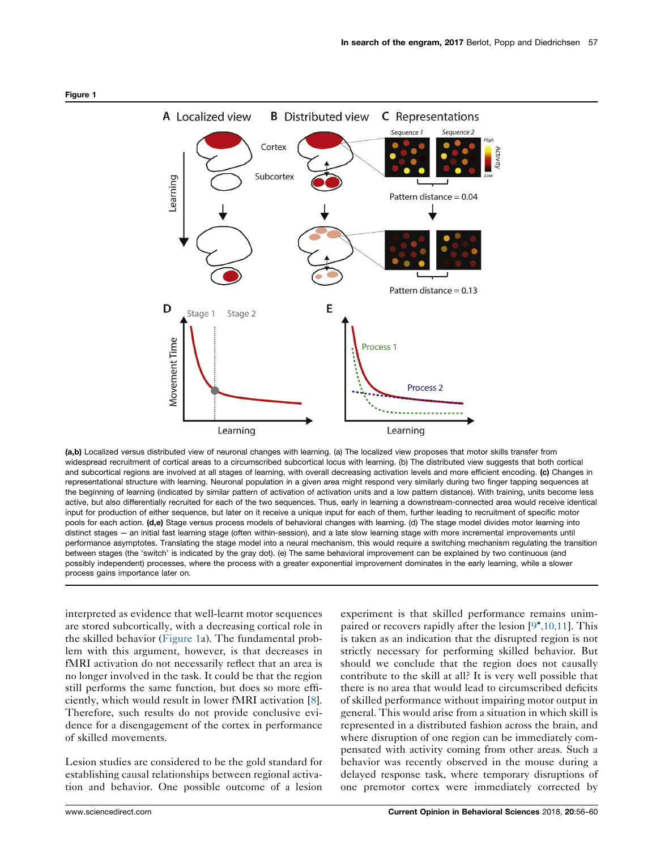

<span id="page-1-0"></span>Figure 1

(a,b) Localized versus distributed view of neuronal changes with learning. (a) The localized view proposes that motor skills transfer from widespread recruitment of cortical areas to a circumscribed subcortical locus with learning. (b) The distributed view suggests that both cortical and subcortical regions are involved at all stages of learning, with overall decreasing activation levels and more efficient encoding. (c) Changes in representational structure with learning. Neuronal population in a given area might respond very similarly during two finger tapping sequences at the beginning of learning (indicated by similar pattern of activation of activation units and a low pattern distance). With training, units become less active, but also differentially recruited for each of the two sequences. Thus, early in learning a downstream-connected area would receive identical input for production of either sequence, but later on it receive a unique input for each of them, further leading to recruitment of specific motor pools for each action. (d,e) Stage versus process models of behavioral changes with learning. (d) The stage model divides motor learning into distinct stages — an initial fast learning stage (often within-session), and a late slow learning stage with more incremental improvements until performance asymptotes. Translating the stage model into a neural mechanism, this would require a switching mechanism regulating the transition between stages (the 'switch' is indicated by the gray dot). (e) The same behavioral improvement can be explained by two continuous (and possibly independent) processes, where the process with a greater exponential improvement dominates in the early learning, while a slower process gains importance later on.

interpreted as evidence that well-learnt motor sequences are stored subcortically, with a decreasing cortical role in the skilled behavior (Figure 1a). The fundamental problem with this argument, however, is that decreases in fMRI activation do not necessarily reflect that an area is no longer involved in the task. It could be that the region still performs the same function, but does so more efficiently, which would result in lower fMRI activation [\[8](#page-3-0)]. Therefore, such results do not provide conclusive evidence for a disengagement of the cortex in performance of skilled movements.

Lesion studies are considered to be the gold standard for establishing causal relationships between regional activation and behavior. One possible outcome of a lesion experiment is that skilled performance remains unim-paired or recovers rapidly after the lesion [9[,10,11](#page-3-0)]. This is taken as an indication that the disrupted region is not strictly necessary for performing skilled behavior. But should we conclude that the region does not causally contribute to the skill at all? It is very well possible that there is no area that would lead to circumscribed deficits of skilled performance without impairing motor output in general. This would arise from a situation in which skill is represented in a distributed fashion across the brain, and where disruption of one region can be immediately compensated with activity coming from other areas. Such a behavior was recently observed in the mouse during a delayed response task, where temporary disruptions of one premotor cortex were immediately corrected by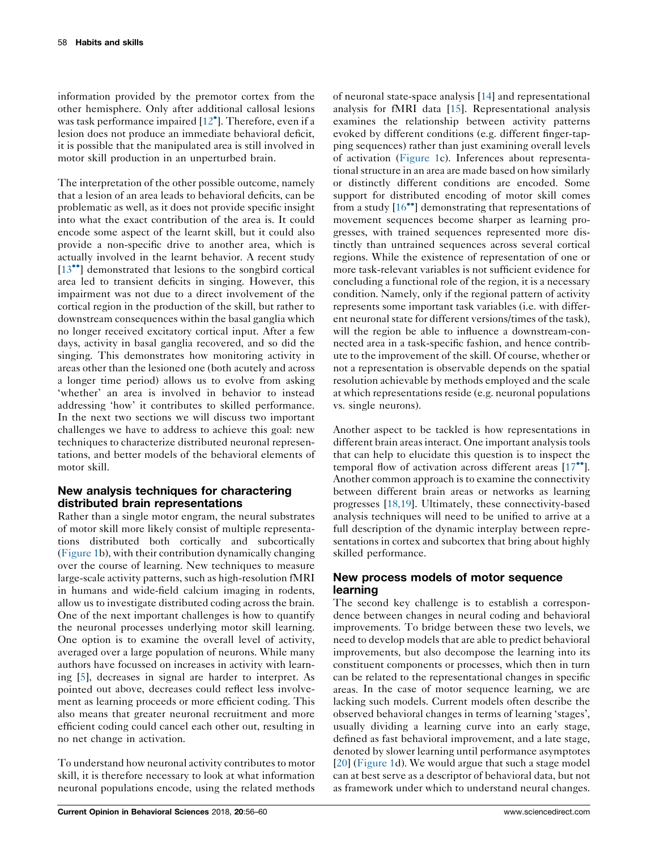information provided by the premotor cortex from the other hemisphere. Only after additional callosal lesions was task performance impaired [12 ]. [Therefore,](#page-3-0) even if a lesion does not produce an immediate behavioral deficit, it is possible that the manipulated area is still involved in motor skill production in an unperturbed brain.

The interpretation of the other possible outcome, namely that a lesion of an area leads to behavioral deficits, can be problematic as well, as it does not provide specific insight into what the exact contribution of the area is. It could encode some aspect of the learnt skill, but it could also provide a non-specific drive to another area, which is actually involved in the learnt behavior. A recent study  $[13\bullet]$  [demonstrated](#page-3-0) that lesions to the songbird cortical area led to transient deficits in singing. However, this impairment was not due to a direct involvement of the cortical region in the production of the skill, but rather to downstream consequences within the basal ganglia which no longer received excitatory cortical input. After a few days, activity in basal ganglia recovered, and so did the singing. This demonstrates how monitoring activity in areas other than the lesioned one (both acutely and across a longer time period) allows us to evolve from asking 'whether' an area is involved in behavior to instead addressing 'how' it contributes to skilled performance. In the next two sections we will discuss two important challenges we have to address to achieve this goal: new techniques to characterize distributed neuronal representations, and better models of the behavioral elements of motor skill.

# New analysis techniques for charactering distributed brain representations

Rather than a single motor engram, the neural substrates of motor skill more likely consist of multiple representations distributed both cortically and subcortically [\(Figure](#page-1-0) 1b), with their contribution dynamically changing over the course of learning. New techniques to measure large-scale activity patterns, such as high-resolution fMRI in humans and wide-field calcium imaging in rodents, allow us to investigate distributed coding across the brain. One of the next important challenges is how to quantify the neuronal processes underlying motor skill learning. One option is to examine the overall level of activity, averaged over a large population of neurons. While many authors have focussed on increases in activity with learning [\[5](#page-3-0)], decreases in signal are harder to interpret. As pointed out above, decreases could reflect less involvement as learning proceeds or more efficient coding. This also means that greater neuronal recruitment and more efficient coding could cancel each other out, resulting in no net change in activation.

To understand how neuronal activity contributesto motor skill, it is therefore necessary to look at what information neuronal populations encode, using the related methods

analysis for fMRI data [[15\]](#page-4-0). Representational analysis examines the relationship between activity patterns evoked by different conditions (e.g. different finger-tapping sequences) rather than just examining overall levels of activation [\(Figure](#page-1-0) 1c). Inferences about representational structure in an area are made based on how similarly or distinctly different conditions are encoded. Some support for distributed encoding of motor skill comes from a study  $[16\text{°}$  demonstrating that [representations](#page-4-0) of movement sequences become sharper as learning progresses, with trained sequences represented more distinctly than untrained sequences across several cortical regions. While the existence of representation of one or more task-relevant variables is not sufficient evidence for concluding a functional role of the region, it is a necessary condition. Namely, only if the regional pattern of activity represents some important task variables (i.e. with different neuronal state for different versions/times of the task), will the region be able to influence a downstream-connected area in a task-specific fashion, and hence contribute to the improvement of the skill. Of course, whether or not a representation is observable depends on the spatial resolution achievable by methods employed and the scale at which representations reside (e.g. neuronal populations vs. single neurons).

of neuronal state-space analysis [\[14](#page-4-0)] and representational

Another aspect to be tackled is how representations in different brain areas interact. One important analysis tools that can help to elucidate this question is to inspect the temporal flow of activation across different areas  $[17$ <sup>...</sup>]. Another common approach is to examine the connectivity between different brain areas or networks as learning progresses [[18,19](#page-4-0)]. Ultimately, these connectivity-based analysis techniques will need to be unified to arrive at a full description of the dynamic interplay between representations in cortex and subcortex that bring about highly skilled performance.

# New process models of motor sequence learning

The second key challenge is to establish a correspondence between changes in neural coding and behavioral improvements. To bridge between these two levels, we need to develop models that are able to predict behavioral improvements, but also decompose the learning into its constituent components or processes, which then in turn can be related to the representational changes in specific areas. In the case of motor sequence learning, we are lacking such models. Current models often describe the observed behavioral changes in terms of learning 'stages', usually dividing a learning curve into an early stage, defined as fast behavioral improvement, and a late stage, denoted by slower learning until performance asymptotes [\[20](#page-4-0)] [\(Figure](#page-1-0) 1d). We would argue that such a stage model can at best serve as a descriptor of behavioral data, but not as framework under which to understand neural changes.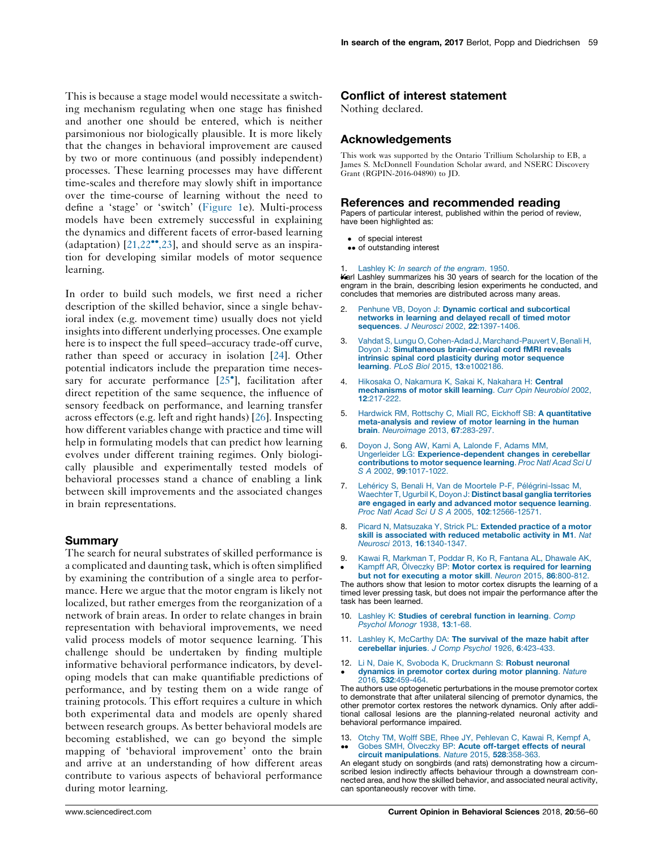<span id="page-3-0"></span>This is because a stage model would necessitate a switching mechanism regulating when one stage has finished and another one should be entered, which is neither parsimonious nor biologically plausible. It is more likely that the changes in behavioral improvement are caused by two or more continuous (and possibly independent) processes. These learning processes may have different time-scales and therefore may slowly shift in importance over the time-course of learning without the need to define a 'stage' or 'switch' ([Figure](#page-1-0) 1e). Multi-process models have been extremely successful in explaining the dynamics and different facets of error-based learning (adaptation)  $[21,22^{\bullet\bullet},23]$  $[21,22^{\bullet\bullet},23]$ , and should serve as an inspiration for developing similar models of motor sequence learning.

In order to build such models, we first need a richer description of the skilled behavior, since a single behavioral index (e.g. movement time) usually does not yield insights into different underlying processes. One example here is to inspect the full speed–accuracy trade-off curve, rather than speed or accuracy in isolation [[24](#page-4-0)]. Other potential indicators include the preparation time necessary for accurate performance [25 ], [facilitation](#page-4-0) after direct repetition of the same sequence, the influence of sensory feedback on performance, and learning transfer across effectors (e.g. left and right hands) [\[26](#page-4-0)]. Inspecting how different variables change with practice and time will help in formulating models that can predict how learning evolves under different training regimes. Only biologically plausible and experimentally tested models of behavioral processes stand a chance of enabling a link between skill improvements and the associated changes in brain representations.

#### **Summary**

The search for neural substrates of skilled performance is a complicated and daunting task, which is often simplified by examining the contribution of a single area to performance. Here we argue that the motor engram is likely not localized, but rather emerges from the reorganization of a network of brain areas. In order to relate changes in brain representation with behavioral improvements, we need valid process models of motor sequence learning. This challenge should be undertaken by finding multiple informative behavioral performance indicators, by developing models that can make quantifiable predictions of performance, and by testing them on a wide range of training protocols. This effort requires a culture in which both experimental data and models are openly shared between research groups. As better behavioral models are becoming established, we can go beyond the simple mapping of 'behavioral improvement' onto the brain and arrive at an understanding of how different areas contribute to various aspects of behavioral performance during motor learning.

### Conflict of interest statement

Nothing declared.

#### Acknowledgements

This work was supported by the Ontario Trillium Scholarship to EB, a James S. McDonnell Foundation Scholar award, and NSERC Discovery Grant (RGPIN-2016-04890) to JD.

#### References and recommended reading

Papers of particular interest, published within the period of review, have been highlighted as:

- of special interest
- •• of outstanding interest

#### 1. Lashley K: In search of the [engram](http://refhub.elsevier.com/S2352-1546(17)30135-3/sbref0005). 1950.

 Karl Lashley summarizes his 30 years of search for the location of the engram in the brain, describing lesion experiments he conducted, and concludes that memories are distributed across many areas.

- 2. Penhune VB, Doyon J: Dynamic cortical and [subcortical](http://refhub.elsevier.com/S2352-1546(17)30135-3/sbref0010) [networks](http://refhub.elsevier.com/S2352-1546(17)30135-3/sbref0010) in learning and delayed recall of timed motor sequences. J Neurosci 2002, 22[:1397-1406.](http://refhub.elsevier.com/S2352-1546(17)30135-3/sbref0010)
- 3. Vahdat S, Lungu O, Cohen-Adad J, [Marchand-Pauvert](http://refhub.elsevier.com/S2352-1546(17)30135-3/sbref0015) V, Benali H, Doyon J: Simultaneous [brain-cervical](http://refhub.elsevier.com/S2352-1546(17)30135-3/sbref0015) cord fMRI reveals intrinsic spinal cord plasticity during motor [sequence](http://refhub.elsevier.com/S2352-1546(17)30135-3/sbref0015) learning. PLoS Biol 2015, 13[:e1002186.](http://refhub.elsevier.com/S2352-1546(17)30135-3/sbref0015)
- Hikosaka O, [Nakamura](http://refhub.elsevier.com/S2352-1546(17)30135-3/sbref0020) K, Sakai K, Nakahara H: Central [mechanisms](http://refhub.elsevier.com/S2352-1546(17)30135-3/sbref0020) of motor skill learning. Curr Opin Neurobiol 2002, 12[:217-222.](http://refhub.elsevier.com/S2352-1546(17)30135-3/sbref0020)
- 5. Hardwick RM, Rottschy C, Miall RC, Eickhoff SB: A [quantitative](http://refhub.elsevier.com/S2352-1546(17)30135-3/sbref0025) [meta-analysis](http://refhub.elsevier.com/S2352-1546(17)30135-3/sbref0025) and review of motor learning in the human brain. [Neuroimage](http://refhub.elsevier.com/S2352-1546(17)30135-3/sbref0025) 2013, 67:283-297.
- 6. Doyon J, Song AW, Karni A, [Lalonde](http://refhub.elsevier.com/S2352-1546(17)30135-3/sbref0030) F, Adams MM, Ungerleider LG: [Experience-dependent](http://refhub.elsevier.com/S2352-1546(17)30135-3/sbref0030) changes in cerebellar [contributions](http://refhub.elsevier.com/S2352-1546(17)30135-3/sbref0030) to motor sequence learning. Proc Natl Acad Sci U S A 2002, 99[:1017-1022.](http://refhub.elsevier.com/S2352-1546(17)30135-3/sbref0030)
- 7. Lehéricy S, Benali H, Van de Moortele P-F, Pélé[grini-Issac](http://refhub.elsevier.com/S2352-1546(17)30135-3/sbref0035) M, Waechter T, Ugurbil K, Doyon J: Distinct basal ganglia [territories](http://refhub.elsevier.com/S2352-1546(17)30135-3/sbref0035) are engaged in early and [advanced](http://refhub.elsevier.com/S2352-1546(17)30135-3/sbref0035) motor sequence learning. Proc Natl Acad Sci U S A 2005, 102[:12566-12571.](http://refhub.elsevier.com/S2352-1546(17)30135-3/sbref0035)
- 8. Picard N, [Matsuzaka](http://refhub.elsevier.com/S2352-1546(17)30135-3/sbref0040) Y, Strick PL: Extended practice of a motor skill is [associated](http://refhub.elsevier.com/S2352-1546(17)30135-3/sbref0040) with reduced metabolic activity in M1. Nat Neurosci 2013, 16[:1340-1347.](http://refhub.elsevier.com/S2352-1546(17)30135-3/sbref0040)
- 9.  $\bullet$ Kawai R, [Markman](http://refhub.elsevier.com/S2352-1546(17)30135-3/sbref0045) T, Poddar R, Ko R, Fantana AL, Dhawale AK, Kampff AR, Olveczky BP: Motor cortex is [required](http://refhub.elsevier.com/S2352-1546(17)30135-3/sbref0045) for learning

but not for [executing](http://refhub.elsevier.com/S2352-1546(17)30135-3/sbref0045) a motor skill. Neuron 2015, 86:800-812. The authors show that lesion to motor cortex disrupts the learning of a timed lever pressing task, but does not impair the performance after the task has been learned.

- 10. Lashley K: Studies of [cerebral](http://refhub.elsevier.com/S2352-1546(17)30135-3/sbref0050) function in learning. Comp Psychol [Monogr](http://refhub.elsevier.com/S2352-1546(17)30135-3/sbref0050) 1938, 13:1-68.
- 11. Lashley K, [McCarthy](http://refhub.elsevier.com/S2352-1546(17)30135-3/sbref0055) DA: The survival of the maze habit after [cerebellar](http://refhub.elsevier.com/S2352-1546(17)30135-3/sbref0055) injuries. J Comp Psychol 1926, 6:423-433.
- 12. Li N, Daie K, Svoboda K, [Druckmann](http://refhub.elsevier.com/S2352-1546(17)30135-3/sbref0060) S: Robust neuronal  $\bullet$ [dynamics](http://refhub.elsevier.com/S2352-1546(17)30135-3/sbref0060) in premotor cortex during motor planning. Nature 2016, 532[:459-464.](http://refhub.elsevier.com/S2352-1546(17)30135-3/sbref0060)

The authors use optogenetic perturbations in the mouse premotor cortex to demonstrate that after unilateral silencing of premotor dynamics, the other premotor cortex restores the network dynamics. Only after additional callosal lesions are the planning-related neuronal activity and behavioral performance impaired.

13.  $\ddot{\phantom{0}}$ Otchy TM, Wolff SBE, Rhee JY, [Pehlevan](http://refhub.elsevier.com/S2352-1546(17)30135-3/sbref0065) C, Kawai R, Kempf A,<br>Gobes SMH, Ölveczky BP: **Acute [off-target](http://refhub.elsevier.com/S2352-1546(17)30135-3/sbref0065) effects of neural** circuit [manipulations](http://refhub.elsevier.com/S2352-1546(17)30135-3/sbref0065). Nature 2015, 528:358-363.

An elegant study on songbirds (and rats) demonstrating how a circumscribed lesion indirectly affects behaviour through a downstream connected area, and how the skilled behavior, and associated neural activity, can spontaneously recover with time.